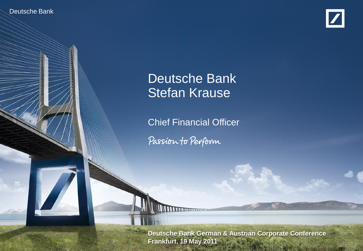Deutsche Bank

Deutsche Bank Investor Relations



# Deutsche Bank Stefan Krause

Chief Financial Officer

Passion to Perform

Stefan Krause, CFO

**EXACTE CANACE, 19 DEUTSCHE Bank German & Austrian Corporate Conference Frankfurt, 19 May 2011**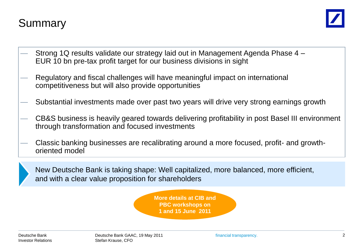# Summary



- Strong 1Q results validate our strategy laid out in Management Agenda Phase 4 EUR 10 bn pre-tax profit target for our business divisions in sight
- Regulatory and fiscal challenges will have meaningful impact on international competitiveness but will also provide opportunities
- Substantial investments made over past two years will drive very strong earnings growth
- CB&S business is heavily geared towards delivering profitability in post Basel III environment through transformation and focused investments
- Classic banking businesses are recalibrating around a more focused, profit- and growthoriented model



New Deutsche Bank is taking shape: Well capitalized, more balanced, more efficient, and with a clear value proposition for shareholders

> **More details at CIB and PBC workshops on 1 and 15 June 2011**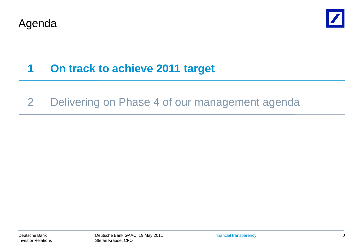



# **1 On track to achieve 2011 target**

### 2 Delivering on Phase 4 of our management agenda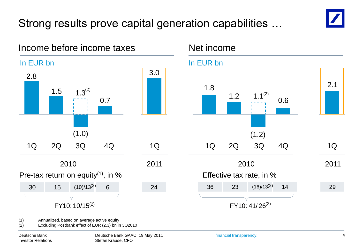# Strong results prove capital generation capabilities …

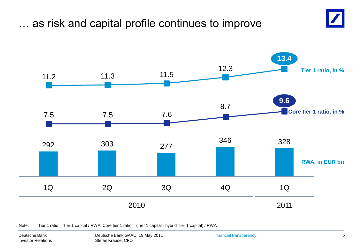## … as risk and capital profile continues to improve





Note: Tier 1 ratio = Tier 1 capital / RWA; Core tier 1 ratio = (Tier 1 capital - hybrid Tier 1 capital) / RWA

Deutsche Bank Investor Relations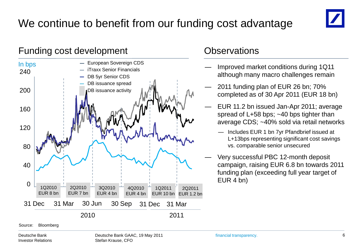# We continue to benefit from our funding cost advantage



#### Funding cost development Controller Controller Controller Controller Controller Controller Controller Controller



- Improved market conditions during 1Q11 although many macro challenges remain
- 2011 funding plan of EUR 26 bn; 70% completed as of 30 Apr 2011 (EUR 18 bn)
- EUR 11.2 bn issued Jan-Apr 2011; average spread of L+58 bps; ~40 bps tighter than average CDS; ~40% sold via retail networks
	- Includes EUR 1 bn 7yr Pfandbrief issued at L+13bps representing significant cost savings vs. comparable senior unsecured
- Very successful PBC 12-month deposit campaign, raising EUR 6.8 bn towards 2011 funding plan (exceeding full year target of EUR 4 bn)

Source: Bloomberg

Deutsche Bank Investor Relations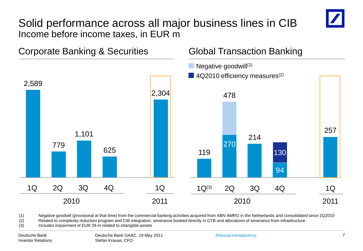### Solid performance across all major business lines in CIB Income before income taxes, in EUR m



(1) Negative goodwill (provisional at that time) from the commercial banking activities acquired from ABN AMRO in the Netherlands and consolidated since 2Q2010

(2) Related to complexity reduction program and CIB integration; severance booked directly in GTB and allocations of severance from infrastructure

(3) Includes impairment of EUR 29 m related to intangible assets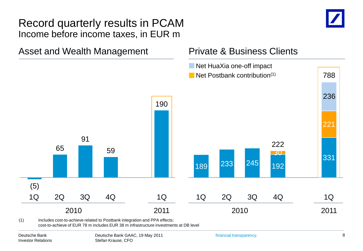#### Record quarterly results in PCAM Income before income taxes, in EUR m



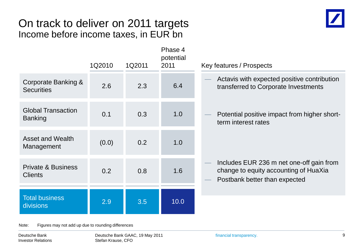### On track to deliver on 2011 targets Income before income taxes, in EUR bn



|                                                 | 1Q2010 | 1Q2011 | Phase 4<br>potential<br>2011 | Key features / Prospects                                                                                           |
|-------------------------------------------------|--------|--------|------------------------------|--------------------------------------------------------------------------------------------------------------------|
| Corporate Banking &<br><b>Securities</b>        | 2.6    | 2.3    | 6.4                          | Actavis with expected positive contribution<br>transferred to Corporate Investments                                |
| <b>Global Transaction</b><br><b>Banking</b>     | 0.1    | 0.3    | 1.0                          | Potential positive impact from higher short-<br>term interest rates                                                |
| <b>Asset and Wealth</b><br>Management           | (0.0)  | 0.2    | 1.0                          |                                                                                                                    |
| <b>Private &amp; Business</b><br><b>Clients</b> | 0.2    | 0.8    | 1.6                          | Includes EUR 236 m net one-off gain from<br>change to equity accounting of HuaXia<br>Postbank better than expected |
| <b>Total business</b><br>divisions              | 2.9    | 3.5    | 10.0                         |                                                                                                                    |

Note: Figures may not add up due to rounding differences

Deutsche Bank Investor Relations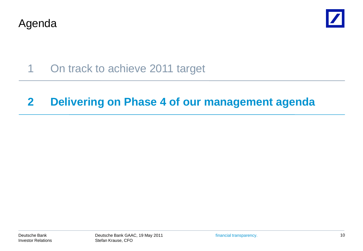Agenda



1 On track to achieve 2011 target

### **2 Delivering on Phase 4 of our management agenda**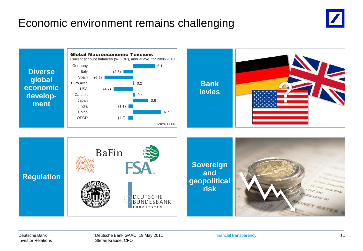# Economic environment remains challenging



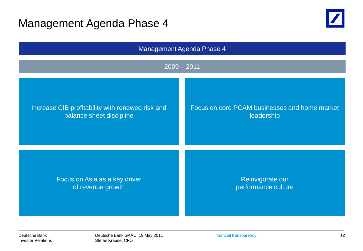### Management Agenda Phase 4





Deutsche Bank Investor Relations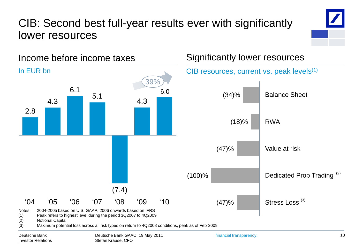# CIB: Second best full-year results ever with significantly lower resources



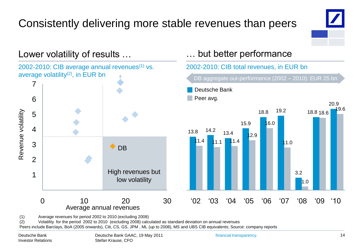# Consistently delivering more stable revenues than peers



19.6



(1) Average revenues for period 2002 to 2010 (excluding 2008)

(2) Volatility for the period 2002 to 2010 (excluding 2008) calculated as standard deviation on annual revenues

Peers include Barclays, BoA (2005 onwards), Citi, CS, GS, JPM , ML (up to 2008), MS and UBS CIB equivalents; Source: company reports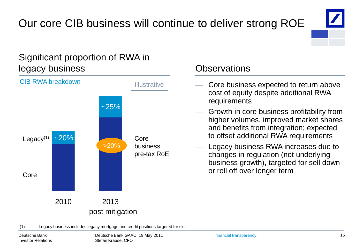# Our core CIB business will continue to deliver strong ROE



#### Significant proportion of RWA in legacy business Observations



- Core business expected to return above cost of equity despite additional RWA requirements
- Growth in core business profitability from higher volumes, improved market shares and benefits from integration; expected to offset additional RWA requirements
- Legacy business RWA increases due to changes in regulation (not underlying business growth), targeted for sell down or roll off over longer term

(1) Legacy business includes legacy mortgage and credit positions targeted for exit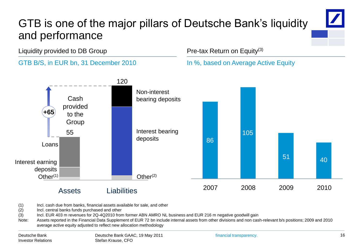# GTB is one of the major pillars of Deutsche Bank's liquidity and performance

Liquidity provided to DB Group



#### Pre-tax Return on Equity(3)

In %, based on Average Active Equity



(1) Incl. cash due from banks, financial assets available for sale, and other

(2) Incl. central banks funds purchased and other

(3) Incl. EUR 403 m revenues for 2Q-4Q2010 from former ABN AMRO NL business and EUR 216 m negative goodwill gain

Note: Assets reported in the Financial Data Supplement of EUR 72 bn include internal assets from other divisions and non cash-relevant b/s positions; 2009 and 2010 average active equity adjusted to reflect new allocation methodology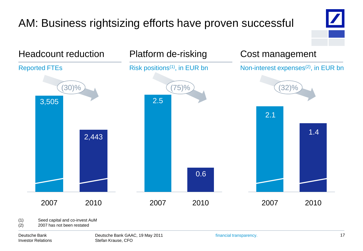# AM: Business rightsizing efforts have proven successful





(1) Seed capital and co-invest AuM

(2) 2007 has not been restated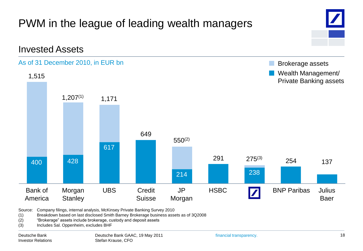

Source: Company filings, internal analysis, McKinsey Private Banking Survey 2010

(1) Breakdown based on last disclosed Smith Barney Brokerage business assets as of 3Q2008

- (2) 
"Brokerage" assets include brokerage, custody and deposit assets
- (3) Includes Sal. Oppenheim, excludes BHF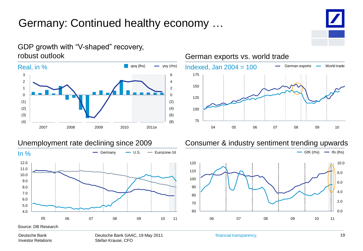# Germany: Continued healthy economy …



#### GDP growth with "V-shaped" recovery, robust outlook





#### Unemployment rate declining since 2009 Consumer & industry sentiment trending upwards



Deutsche Bank Investor Relations Deutsche Bank GAAC, 19 May 2011 Stefan Krause, CFO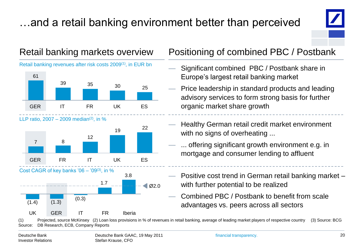# …and a retail banking environment better than perceived



Retail banking revenues after risk costs 2009(1), in EUR bn



LLP ratio,  $2007 - 2009$  median<sup>(2)</sup>, in %







#### Retail banking markets overview Positioning of combined PBC / Postbank

- Significant combined PBC / Postbank share in Europe's largest retail banking market
- Price leadership in standard products and leading advisory services to form strong basis for further organic market share growth
- Healthy German retail credit market environment with no signs of overheating ...
- ... offering significant growth environment e.g. in mortgage and consumer lending to affluent
- Positive cost trend in German retail banking market with further potential to be realized
- Combined PBC / Postbank to benefit from scale advantages vs. peers across all sectors

(1) Projected, source McKinsey (2) Loan loss provisions in % of revenues in retail banking, average of leading market players of respective country (3) Source: BCG Source: DB Research, ECB, Company Reports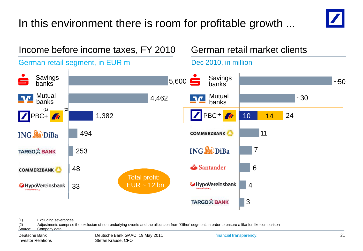# In this environment there is room for profitable growth ...





(1) Excluding severances

(2) Adjustments comprise the exclusion of non-underlying events and the allocation from 'Other' segment, in order to ensure a like-for-like comparison

Source: Company data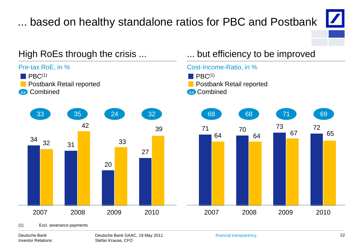# ... based on healthy standalone ratios for PBC and Postbank



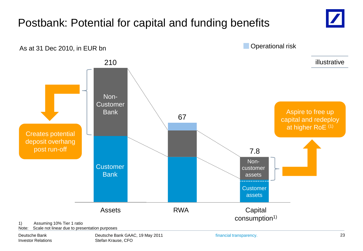#### Assets 210 **Customer Bank** Non-**Customer** Bank Postbank: Potential for capital and funding benefits 1) Assuming 10% Tier 1 ratio **Capital** consumption<sup>1)</sup> RWA **Customer** assets Noncustomer assets As at 31 Dec 2010, in EUR bn 67 7.8 Operational risk Aspire to free up capital and redeploy at higher RoE (1) Creates potential deposit overhang post run-off illustrative

Note: Scale not linear due to presentation purposes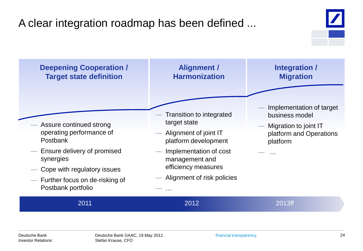# A clear integration roadmap has been defined ...

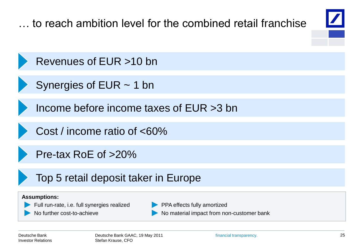**Assumptions:** Full run-rate, i.e. full synergies realized No further cost-to-achieve PPA effects fully amortized No material impact from non-customer bank … to reach ambition level for the combined retail franchise Revenues of EUR >10 bn Income before income taxes of EUR >3 bn Cost / income ratio of <60% Pre-tax RoE of >20% Top 5 retail deposit taker in Europe Synergies of EUR ~ 1 bn

Deutsche Bank Investor Relations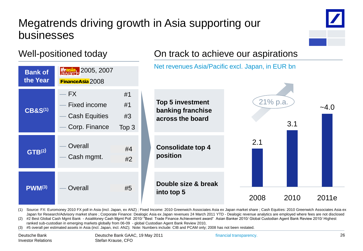# Megatrends driving growth in Asia supporting our businesses



#### Well-positioned today



(1) Source: FX: Euromoney 2010 FX poll in Asia (incl. Japan, ex ANZ) ; Fixed Income: 2010 Greenwich Associates Asia ex Japan market share ; Cash Equities: 2010 Greenwich Associates Asia ex Japan for Research/Advisory market share ; Corporate Finance: Dealogic Asia ex Japan revenues 24 March 2011 YTD - Dealogic revenue analytics are employed where fees are not disclosed

(2) #2 Best Global Cash Mgmt Bank - AsiaMoney Cash Mgmt Poll 2010/ "Best Trade Finance Achievement award" Asian Banker 2010/ Global Custodian Agent Bank Review 2010/ Highest ranked sub-custodian in emerging markets globally from 06-09 - global Custodian Agent Bank Review 2010,

(3) #5 overall per estimated assets in Asia (incl. Japan, incl. ANZ); Note: Numbers include: CIB and PCAM only; 2008 has not been restated.

financial transparency.

On track to achieve our aspirations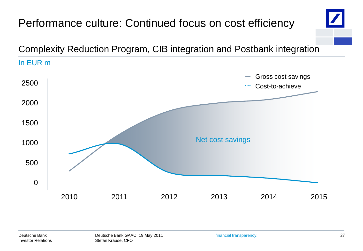### Performance culture: Continued focus on cost efficiency Complexity Reduction Program, CIB integration and Postbank integration In EUR m Gross cost savings **College** 2500 Cost-to-achieve . . . 2000 1500 Net cost savings1000 500 0 2010 2011 2013 2014 2015 2012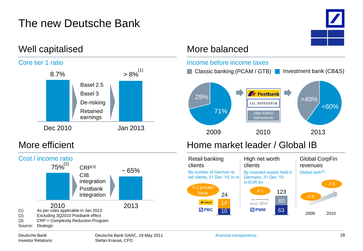# The new Deutsche Bank

8.7%  $> 8\%^{(1)}$ 

Basel 2.5 Basel 3

De-risking



#### Well capitalised More balanced





# Dec 2010 Jan 2013 Retained earnings

Core tier 1 ratio



#### Deutsche Bank Investor Relations